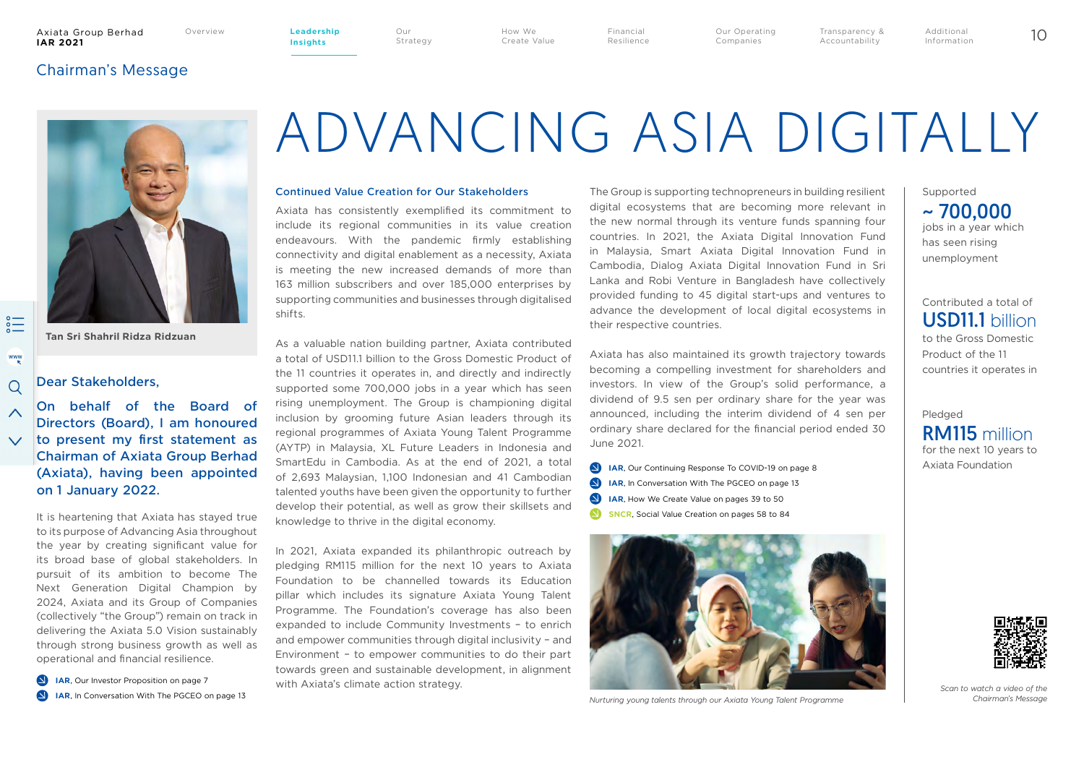#### Axiata Group Berhad **IAR 2021**

**Insights**

Our Strategy How We Create Value Financial Resilience

Our Operating Companies Overview 10 **Leadership** 

Additional Information

Transparency & Accountability

## Chairman's Message



 $\lambda$ 

**Tan Sri Shahril Ridza Ridzuan**

## Dear Stakeholders,

On behalf of the Board of Directors (Board), I am honoured  $\vee$  to present my first statement as Chairman of Axiata Group Berhad (Axiata), having been appointed on 1 January 2022.

> It is heartening that Axiata has stayed true to its purpose of Advancing Asia throughout the year by creating significant value for its broad base of global stakeholders. In pursuit of its ambition to become The Next Generation Digital Champion by 2024, Axiata and its Group of Companies (collectively "the Group") remain on track in delivering the Axiata 5.0 Vision sustainably through strong business growth as well as operational and financial resilience.

**IAR**, In Conversation With The PGCEO on page 13 **IAR**, Our Investor Proposition on page 7

# ADVANCING ASIA DIGITALLY

#### Continued Value Creation for Our Stakeholders

Axiata has consistently exemplified its commitment to include its regional communities in its value creation endeavours. With the pandemic firmly establishing connectivity and digital enablement as a necessity, Axiata is meeting the new increased demands of more than 163 million subscribers and over 185,000 enterprises by supporting communities and businesses through digitalised shifts.

As a valuable nation building partner, Axiata contributed a total of USD11.1 billion to the Gross Domestic Product of the 11 countries it operates in, and directly and indirectly supported some 700,000 jobs in a year which has seen rising unemployment. The Group is championing digital inclusion by grooming future Asian leaders through its regional programmes of Axiata Young Talent Programme (AYTP) in Malaysia, XL Future Leaders in Indonesia and SmartEdu in Cambodia. As at the end of 2021, a total of 2,693 Malaysian, 1,100 Indonesian and 41 Cambodian talented youths have been given the opportunity to further develop their potential, as well as grow their skillsets and knowledge to thrive in the digital economy.

In 2021, Axiata expanded its philanthropic outreach by pledging RM115 million for the next 10 years to Axiata Foundation to be channelled towards its Education pillar which includes its signature Axiata Young Talent Programme. The Foundation's coverage has also been expanded to include Community Investments – to enrich and empower communities through digital inclusivity – and Environment – to empower communities to do their part towards green and sustainable development, in alignment with Axiata's climate action strategy.

The Group is supporting technopreneurs in building resilient digital ecosystems that are becoming more relevant in the new normal through its venture funds spanning four countries. In 2021, the Axiata Digital Innovation Fund in Malaysia, Smart Axiata Digital Innovation Fund in Cambodia, Dialog Axiata Digital Innovation Fund in Sri Lanka and Robi Venture in Bangladesh have collectively provided funding to 45 digital start-ups and ventures to advance the development of local digital ecosystems in their respective countries.

Axiata has also maintained its growth trajectory towards becoming a compelling investment for shareholders and investors. In view of the Group's solid performance, a dividend of 9.5 sen per ordinary share for the year was announced, including the interim dividend of 4 sen per ordinary share declared for the financial period ended 30 June 2021.

**IAR**, Our Continuing Response To COVID-19 on page 8 **IAR**, In Conversation With The PGCEO on page 13 **IAR**, How We Create Value on pages 39 to 50  $\blacksquare$ **SNCR**, Social Value Creation on pages 58 to 84



*Nurturing young talents through our Axiata Young Talent Programme*

jobs in a year which has seen rising unemployment Supported  $\sim$  700.000

## to the Gross Domestic Contributed a total of USD11.1 billion

Product of the 11 countries it operates in

## Pledged for the next 10 years to Axiata Foundation RM115 million



*Scan to watch a video of the Chairman's Message*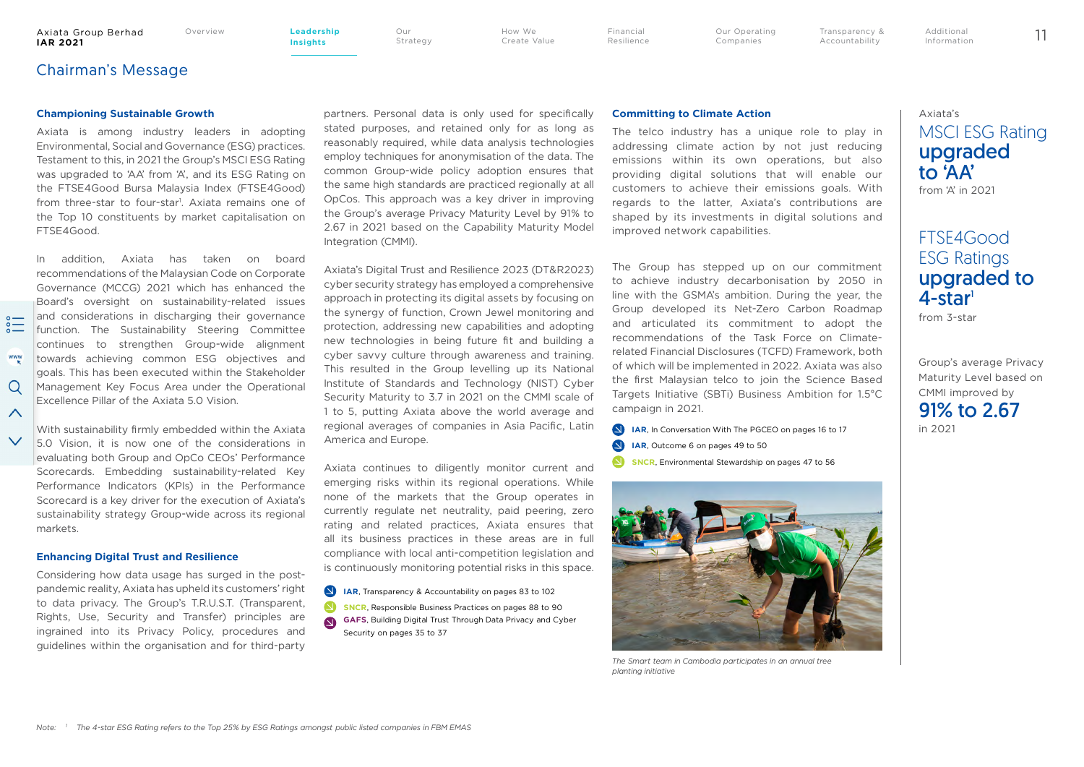**Insights**

Strategy

Our

How We Create Value Financial Resilience

Our Operating Companies Overview 11 **Leadership** 

Transparency & Accountability Additional Information

## Chairman's Message

#### **Championing Sustainable Growth**

Axiata is among industry leaders in adopting Environmental, Social and Governance (ESG) practices. Testament to this, in 2021 the Group's MSCI ESG Rating was upgraded to 'AA' from 'A', and its ESG Rating on the FTSE4Good Bursa Malaysia Index (FTSE4Good) from three-star to four-star<sup>1</sup>. Axiata remains one of the Top 10 constituents by market capitalisation on FTSE4Good.

In addition, Axiata has taken on board recommendations of the Malaysian Code on Corporate Governance (MCCG) 2021 which has enhanced the Board's oversight on sustainability-related issues and considerations in discharging their governance function. The Sustainability Steering Committee continues to strengthen Group-wide alignment www towards achieving common ESG objectives and goals. This has been executed within the Stakeholder Management Key Focus Area under the Operational Excellence Pillar of the Axiata 5.0 Vision.

markets.

 $\Omega$ 

 $\wedge$ 

#### **Enhancing Digital Trust and Resilience**

Considering how data usage has surged in the postpandemic reality, Axiata has upheld its customers' right to data privacy. The Group's T.R.U.S.T. (Transparent, Rights, Use, Security and Transfer) principles are ingrained into its Privacy Policy, procedures and guidelines within the organisation and for third-party

partners. Personal data is only used for specifically stated purposes, and retained only for as long as reasonably required, while data analysis technologies employ techniques for anonymisation of the data. The common Group-wide policy adoption ensures that the same high standards are practiced regionally at all OpCos. This approach was a key driver in improving the Group's average Privacy Maturity Level by 91% to 2.67 in 2021 based on the Capability Maturity Model Integration (CMMI).

Axiata's Digital Trust and Resilience 2023 (DT&R2023) cyber security strategy has employed a comprehensive approach in protecting its digital assets by focusing on the synergy of function, Crown Jewel monitoring and protection, addressing new capabilities and adopting new technologies in being future fit and building a cyber savvy culture through awareness and training. This resulted in the Group levelling up its National Institute of Standards and Technology (NIST) Cyber Security Maturity to 3.7 in 2021 on the CMMI scale of 1 to 5, putting Axiata above the world average and regional averages of companies in Asia Pacific, Latin America and Europe.

Axiata continues to diligently monitor current and emerging risks within its regional operations. While none of the markets that the Group operates in currently regulate net neutrality, paid peering, zero rating and related practices, Axiata ensures that all its business practices in these areas are in full compliance with local anti-competition legislation and is continuously monitoring potential risks in this space.

- **IAR**, Transparency & Accountability on pages 83 to 102
- **SNCR**, Responsible Business Practices on pages 88 to 90
- **GAFS**, Building Digital Trust Through Data Privacy and Cyber Security on pages 35 to 37

#### **Committing to Climate Action**

The telco industry has a unique role to play in addressing climate action by not just reducing emissions within its own operations, but also providing digital solutions that will enable our customers to achieve their emissions goals. With regards to the latter, Axiata's contributions are shaped by its investments in digital solutions and improved network capabilities.

The Group has stepped up on our commitment to achieve industry decarbonisation by 2050 in line with the GSMA's ambition. During the year, the Group developed its Net-Zero Carbon Roadmap and articulated its commitment to adopt the recommendations of the Task Force on Climaterelated Financial Disclosures (TCFD) Framework, both of which will be implemented in 2022. Axiata was also the first Malaysian telco to join the Science Based Targets Initiative (SBTi) Business Ambition for 1.5°C campaign in 2021.

**SNCR**, Environmental Stewardship on pages 47 to 56 **IAR**, In Conversation With The PGCEO on pages 16 to 17 **IAR**, Outcome 6 on pages 49 to 50



*The Smart team in Cambodia participates in an annual tree planting initiative*

# Axiata's MSCI ESG Rating upgraded to 'AA'

from 'A' in 2021

# FTSE4Good ESG Ratings upgraded to  $4$ -star $1$

from 3-star

Group's average Privacy Maturity Level based on CMMI improved by 91% to 2.67 in 2021